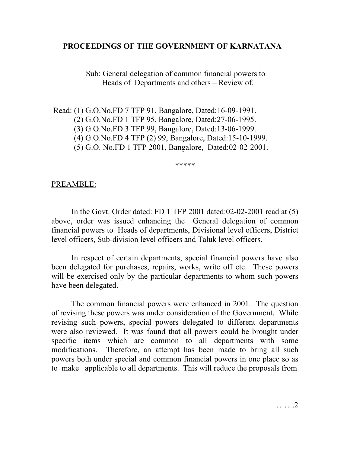# **PROCEEDINGS OF THE GOVERNMENT OF KARNATANA**

 Sub: General delegation of common financial powers to Heads of Departments and others – Review of.

 Read: (1) G.O.No.FD 7 TFP 91, Bangalore, Dated:16-09-1991. (2) G.O.No.FD 1 TFP 95, Bangalore, Dated:27-06-1995. (3) G.O.No.FD 3 TFP 99, Bangalore, Dated:13-06-1999. (4) G.O.No.FD 4 TFP (2) 99, Bangalore, Dated:15-10-1999. (5) G.O. No.FD 1 TFP 2001, Bangalore, Dated:02-02-2001.

\*\*\*\*\*

## PREAMBLE:

 In the Govt. Order dated: FD 1 TFP 2001 dated:02-02-2001 read at (5) above, order was issued enhancing the General delegation of common financial powers to Heads of departments, Divisional level officers, District level officers, Sub-division level officers and Taluk level officers.

 In respect of certain departments, special financial powers have also been delegated for purchases, repairs, works, write off etc. These powers will be exercised only by the particular departments to whom such powers have been delegated.

 The common financial powers were enhanced in 2001. The question of revising these powers was under consideration of the Government. While revising such powers, special powers delegated to different departments were also reviewed. It was found that all powers could be brought under specific items which are common to all departments with some modifications. Therefore, an attempt has been made to bring all such powers both under special and common financial powers in one place so as to make applicable to all departments. This will reduce the proposals from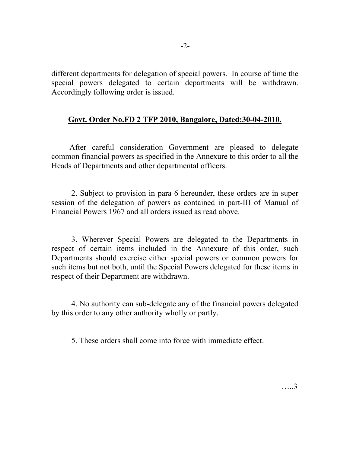different departments for delegation of special powers. In course of time the special powers delegated to certain departments will be withdrawn. Accordingly following order is issued.

# **Govt. Order No.FD 2 TFP 2010, Bangalore, Dated:30-04-2010.**

 After careful consideration Government are pleased to delegate common financial powers as specified in the Annexure to this order to all the Heads of Departments and other departmental officers.

 2. Subject to provision in para 6 hereunder, these orders are in super session of the delegation of powers as contained in part-III of Manual of Financial Powers 1967 and all orders issued as read above.

 3. Wherever Special Powers are delegated to the Departments in respect of certain items included in the Annexure of this order, such Departments should exercise either special powers or common powers for such items but not both, until the Special Powers delegated for these items in respect of their Department are withdrawn.

 4. No authority can sub-delegate any of the financial powers delegated by this order to any other authority wholly or partly.

5. These orders shall come into force with immediate effect.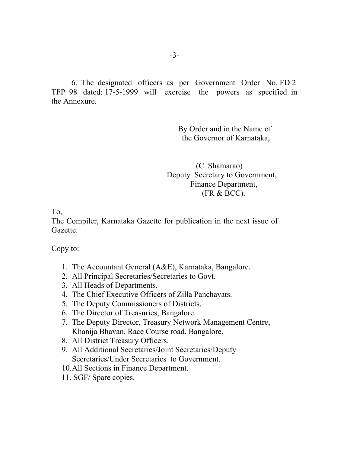6. The designated officers as per Government Order No. FD 2 TFP 98 dated: 17-5-1999 will exercise the powers as specified in the Annexure.

> By Order and in the Name of the Governor of Karnataka,

 (C. Shamarao) Deputy Secretary to Government, Finance Department, (FR & BCC).

To,

The Compiler, Karnataka Gazette for publication in the next issue of Gazette.

Copy to:

- 1. The Accountant General (A&E), Karnataka, Bangalore.
- 2. All Principal Secretaries/Secretaries to Govt.
- 3. All Heads of Departments.
- 4. The Chief Executive Officers of Zilla Panchayats.
- 5. The Deputy Commissioners of Districts.
- 6. The Director of Treasuries, Bangalore.
- 7. The Deputy Director, Treasury Network Management Centre, Khanija Bhavan, Race Course road, Bangalore.
- 8. All District Treasury Officers.
- 9. All Additional Secretaries/Joint Secretaries/Deputy Secretaries/Under Secretaries to Government.
- 10.All Sections in Finance Department.
- 11. SGF/ Spare copies.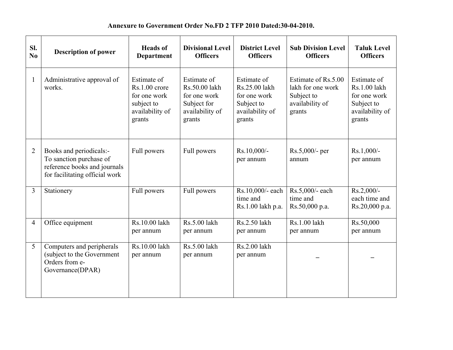#### **Annexure to Government Order No.FD 2 TFP 2010 Dated:30-04-2010.**

| SI.<br>No      | <b>Description of power</b>                                                                                          | <b>Heads</b> of<br><b>Department</b>                                                      | <b>Divisional Level</b><br><b>Officers</b>                                               | <b>District Level</b><br><b>Officers</b>                                                | <b>Sub Division Level</b><br><b>Officers</b>                                        | <b>Taluk Level</b><br><b>Officers</b>                                                  |
|----------------|----------------------------------------------------------------------------------------------------------------------|-------------------------------------------------------------------------------------------|------------------------------------------------------------------------------------------|-----------------------------------------------------------------------------------------|-------------------------------------------------------------------------------------|----------------------------------------------------------------------------------------|
| 1              | Administrative approval of<br>works.                                                                                 | Estimate of<br>$Rs.1.00$ crore<br>for one work<br>subject to<br>availability of<br>grants | Estimate of<br>Rs.50.00 lakh<br>for one work<br>Subject for<br>availability of<br>grants | Estimate of<br>Rs.25.00 lakh<br>for one work<br>Subject to<br>availability of<br>grants | Estimate of Rs.5.00<br>lakh for one work<br>Subject to<br>availability of<br>grants | Estimate of<br>Rs.1.00 lakh<br>for one work<br>Subject to<br>availability of<br>grants |
| $\overline{2}$ | Books and periodicals:-<br>To sanction purchase of<br>reference books and journals<br>for facilitating official work | Full powers                                                                               | Full powers                                                                              | Rs.10,000/-<br>per annum                                                                | Rs.5,000/- per<br>annum                                                             | $Rs.1,000/-$<br>per annum                                                              |
| 3              | Stationery                                                                                                           | Full powers                                                                               | Full powers                                                                              | Rs.10,000/- each<br>time and<br>Rs.1.00 lakh p.a.                                       | Rs.5,000/- each<br>time and<br>Rs.50,000 p.a.                                       | $Rs.2,000/-$<br>each time and<br>Rs.20,000 p.a.                                        |
| $\overline{4}$ | Office equipment                                                                                                     | Rs.10.00 lakh<br>per annum                                                                | Rs.5.00 lakh<br>per annum                                                                | Rs.2.50 lakh<br>per annum                                                               | Rs.1.00 lakh<br>per annum                                                           | Rs.50,000<br>per annum                                                                 |
| 5              | Computers and peripherals<br>(subject to the Government<br>Orders from e-<br>Governance(DPAR)                        | Rs.10.00 lakh<br>per annum                                                                | Rs.5.00 lakh<br>per annum                                                                | Rs.2.00 lakh<br>per annum                                                               |                                                                                     |                                                                                        |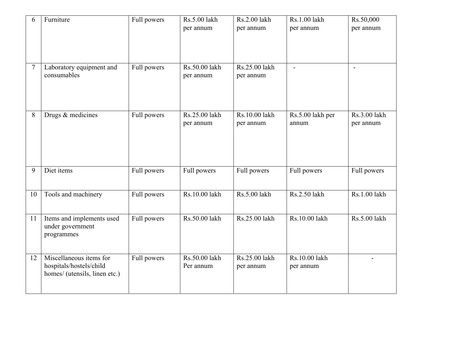| 6      | Furniture                                                                           | Full powers | Rs.5.00 lakh<br>per annum  | Rs.2.00 lakh<br>per annum  | Rs.1.00 lakh<br>per annum  | Rs.50,000<br>per annum    |
|--------|-------------------------------------------------------------------------------------|-------------|----------------------------|----------------------------|----------------------------|---------------------------|
| $\tau$ | Laboratory equipment and<br>consumables                                             | Full powers | Rs.50.00 lakh<br>per annum | Rs.25.00 lakh<br>per annum | $\overline{\phantom{a}}$   | $\overline{\phantom{a}}$  |
| 8      | Drugs & medicines                                                                   | Full powers | Rs.25.00 lakh<br>per annum | Rs.10.00 lakh<br>per annum | Rs.5.00 lakh per<br>annum  | Rs.3.00 lakh<br>per annum |
| 9      | Diet items                                                                          | Full powers | Full powers                | Full powers                | Full powers                | Full powers               |
| 10     | Tools and machinery                                                                 | Full powers | Rs.10.00 lakh              | Rs.5.00 lakh               | Rs.2.50 lakh               | Rs.1.00 lakh              |
| 11     | Items and implements used<br>under government<br>programmes                         | Full powers | Rs.50.00 lakh              | Rs.25.00 lakh              | Rs.10.00 lakh              | Rs.5.00 lakh              |
| 12     | Miscellaneous items for<br>hospitals/hostels/child<br>homes/ (utensils, linen etc.) | Full powers | Rs.50.00 lakh<br>Per annum | Rs.25.00 lakh<br>per annum | Rs.10.00 lakh<br>per annum |                           |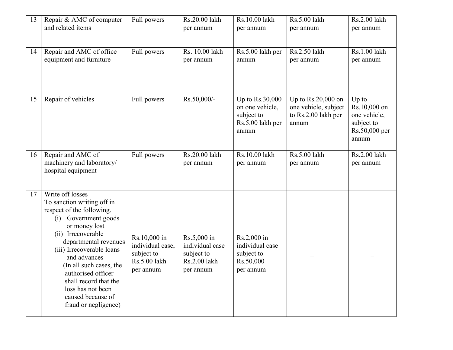| 13 | Repair & AMC of computer<br>and related items                                                                                                                                                                                                                                                                                                                | Full powers                                                                 | Rs.20.00 lakh<br>per annum                                                | Rs.10.00 lakh<br>per annum                                                      | Rs.5.00 lakh<br>per annum                                                    | Rs.2.00 lakh<br>per annum                                                       |
|----|--------------------------------------------------------------------------------------------------------------------------------------------------------------------------------------------------------------------------------------------------------------------------------------------------------------------------------------------------------------|-----------------------------------------------------------------------------|---------------------------------------------------------------------------|---------------------------------------------------------------------------------|------------------------------------------------------------------------------|---------------------------------------------------------------------------------|
| 14 | Repair and AMC of office<br>equipment and furniture                                                                                                                                                                                                                                                                                                          | Full powers                                                                 | Rs. 10.00 lakh<br>per annum                                               | Rs.5.00 lakh per<br>annum                                                       | Rs.2.50 lakh<br>per annum                                                    | Rs.1.00 lakh<br>per annum                                                       |
| 15 | Repair of vehicles                                                                                                                                                                                                                                                                                                                                           | Full powers                                                                 | Rs.50,000/-                                                               | Up to $Rs.30,000$<br>on one vehicle,<br>subject to<br>Rs.5.00 lakh per<br>annum | Up to $Rs.20,000$ on<br>one vehicle, subject<br>to Rs.2.00 lakh per<br>annum | $Up$ to<br>Rs.10,000 on<br>one vehicle,<br>subject to<br>Rs.50,000 per<br>annum |
| 16 | Repair and AMC of<br>machinery and laboratory/<br>hospital equipment                                                                                                                                                                                                                                                                                         | Full powers                                                                 | Rs.20.00 lakh<br>per annum                                                | Rs.10.00 lakh<br>per annum                                                      | Rs.5.00 lakh<br>per annum                                                    | Rs.2.00 lakh<br>per annum                                                       |
| 17 | Write off losses<br>To sanction writing off in<br>respect of the following.<br>(i) Government goods<br>or money lost<br>(ii) Irrecoverable<br>departmental revenues<br>(iii) Irrecoverable loans<br>and advances<br>(In all such cases, the<br>authorised officer<br>shall record that the<br>loss has not been<br>caused because of<br>fraud or negligence) | Rs.10,000 in<br>individual case,<br>subject to<br>Rs.5.00 lakh<br>per annum | Rs.5,000 in<br>individual case<br>subject to<br>Rs.2.00 lakh<br>per annum | Rs.2,000 in<br>individual case<br>subject to<br>Rs.50,000<br>per annum          |                                                                              |                                                                                 |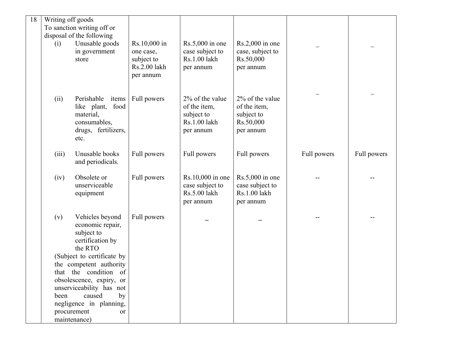| 18 | Writing off goods |                                                   |              |                   |                   |             |             |
|----|-------------------|---------------------------------------------------|--------------|-------------------|-------------------|-------------|-------------|
|    |                   | To sanction writing off or                        |              |                   |                   |             |             |
|    |                   | disposal of the following                         |              |                   |                   |             |             |
|    | (i)               | Unusable goods                                    | Rs.10,000 in | $Rs.5,000$ in one | $Rs.2,000$ in one |             |             |
|    |                   | in government                                     | one case,    | case subject to   | case, subject to  |             |             |
|    |                   | store                                             | subject to   | Rs.1.00 lakh      | Rs.50,000         |             |             |
|    |                   |                                                   | Rs.2.00 lakh | per annum         | per annum         |             |             |
|    |                   |                                                   | per annum    |                   |                   |             |             |
|    |                   |                                                   |              |                   |                   |             |             |
|    | (ii)              | Perishable<br>items                               | Full powers  | 2% of the value   | 2% of the value   |             |             |
|    |                   | food<br>like plant,                               |              | of the item,      | of the item,      |             |             |
|    |                   | material,                                         |              | subject to        | subject to        |             |             |
|    |                   | consumables,                                      |              | Rs.1.00 lakh      | Rs.50,000         |             |             |
|    |                   | drugs, fertilizers,                               |              | per annum         | per annum         |             |             |
|    |                   | etc.                                              |              |                   |                   |             |             |
|    |                   |                                                   |              |                   |                   |             |             |
|    | (iii)             | Unusable books                                    | Full powers  | Full powers       | Full powers       | Full powers | Full powers |
|    |                   | and periodicals.                                  |              |                   |                   |             |             |
|    | (iv)              | Obsolete or                                       | Full powers  | Rs.10,000 in one  | $Rs.5,000$ in one |             |             |
|    |                   | unserviceable                                     |              | case subject to   | case subject to   |             |             |
|    |                   | equipment                                         |              | Rs.5.00 lakh      | Rs.1.00 lakh      |             |             |
|    |                   |                                                   |              | per annum         | per annum         |             |             |
|    |                   |                                                   |              |                   |                   |             |             |
|    | (v)               | Vehicles beyond                                   | Full powers  |                   |                   |             |             |
|    |                   | economic repair,                                  |              |                   |                   |             |             |
|    |                   | subject to                                        |              |                   |                   |             |             |
|    |                   | certification by                                  |              |                   |                   |             |             |
|    |                   | the RTO                                           |              |                   |                   |             |             |
|    |                   | (Subject to certificate by                        |              |                   |                   |             |             |
|    |                   | the competent authority                           |              |                   |                   |             |             |
|    |                   | that the condition of<br>obsolescence, expiry, or |              |                   |                   |             |             |
|    |                   | unserviceability has not                          |              |                   |                   |             |             |
|    | been              | caused<br>by                                      |              |                   |                   |             |             |
|    |                   | negligence in planning,                           |              |                   |                   |             |             |
|    |                   | procurement<br>or                                 |              |                   |                   |             |             |
|    |                   | maintenance)                                      |              |                   |                   |             |             |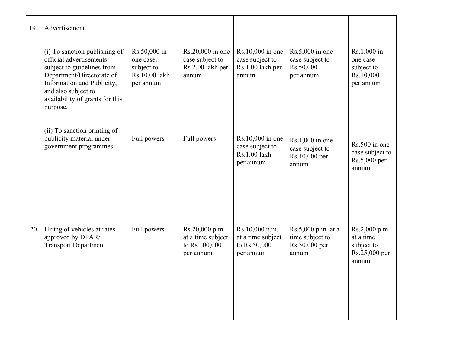| 19 | Advertisement.                                                                                                                                                                                                          |                                                                       |                                                                   |                                                                  |                                                                 |                                                                    |
|----|-------------------------------------------------------------------------------------------------------------------------------------------------------------------------------------------------------------------------|-----------------------------------------------------------------------|-------------------------------------------------------------------|------------------------------------------------------------------|-----------------------------------------------------------------|--------------------------------------------------------------------|
|    | (i) To sanction publishing of<br>official advertisements<br>subject to guidelines from<br>Department/Directorate of<br>Information and Publicity,<br>and also subject to<br>availability of grants for this<br>purpose. | Rs.50,000 in<br>one case,<br>subject to<br>Rs.10.00 lakh<br>per annum | Rs.20,000 in one<br>case subject to<br>Rs.2.00 lakh per<br>annum  | Rs.10,000 in one<br>case subject to<br>Rs.1.00 lakh per<br>annum | $Rs.5,000$ in one<br>case subject to<br>Rs.50,000<br>per annum  | Rs.1,000 in<br>one case<br>subject to<br>Rs.10,000<br>per annum    |
|    | (ii) To sanction printing of<br>publicity material under<br>government programmes                                                                                                                                       | Full powers                                                           | Full powers                                                       | Rs.10,000 in one<br>case subject to<br>Rs.1.00 lakh<br>per annum | $Rs.1,000$ in one<br>case subject to<br>Rs.10,000 per<br>annum  | Rs.500 in one<br>case subject to<br>Rs.5,000 per<br>annum          |
| 20 | Hiring of vehicles at rates<br>approved by DPAR/<br><b>Transport Department</b>                                                                                                                                         | Full powers                                                           | Rs.20,000 p.m.<br>at a time subject<br>to Rs.100,000<br>per annum | Rs.10,000 p.m.<br>at a time subject<br>to Rs.50,000<br>per annum | Rs.5,000 p.m. at a<br>time subject to<br>Rs.50,000 per<br>annum | Rs.2,000 p.m.<br>at a time<br>subject to<br>Rs.25,000 per<br>annum |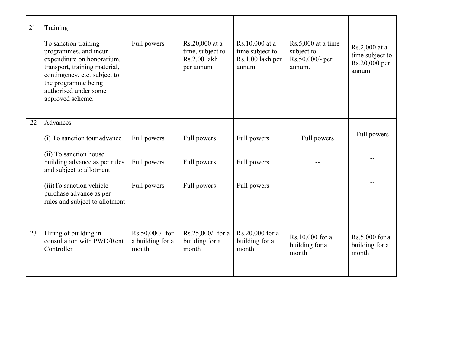| 21 | Training<br>To sanction training<br>programmes, and incur<br>expenditure on honorarium,<br>transport, training material,<br>contingency, etc. subject to<br>the programme being<br>authorised under some<br>approved scheme. | Full powers                                  | Rs.20,000 at a<br>time, subject to<br>Rs.2.00 lakh<br>per annum | Rs.10,000 at a<br>time subject to<br>Rs.1.00 lakh per<br>annum | $Rs.5,000$ at a time<br>subject to<br>Rs.50,000/- per<br>annum. | Rs.2,000 at a<br>time subject to<br>Rs.20,000 per<br>annum |
|----|------------------------------------------------------------------------------------------------------------------------------------------------------------------------------------------------------------------------------|----------------------------------------------|-----------------------------------------------------------------|----------------------------------------------------------------|-----------------------------------------------------------------|------------------------------------------------------------|
| 22 | Advances<br>(i) To sanction tour advance<br>(ii) To sanction house<br>building advance as per rules<br>and subject to allotment<br>(iii) To sanction vehicle<br>purchase advance as per                                      | Full powers<br>Full powers<br>Full powers    | Full powers<br>Full powers<br>Full powers                       | Full powers<br>Full powers<br>Full powers                      | Full powers                                                     | Full powers                                                |
| 23 | rules and subject to allotment<br>Hiring of building in<br>consultation with PWD/Rent<br>Controller                                                                                                                          | Rs.50,000/- for<br>a building for a<br>month | $Rs.25,000/$ - for a<br>building for a<br>month                 | Rs.20,000 for a<br>building for a<br>month                     | Rs.10,000 for a<br>building for a<br>month                      | Rs.5,000 for a<br>building for a<br>month                  |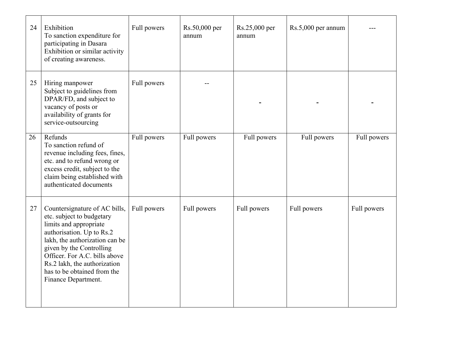| 24 | Exhibition<br>To sanction expenditure for<br>participating in Dasara<br>Exhibition or similar activity<br>of creating awareness.                                                                                                                                                                       | Full powers | Rs.50,000 per<br>annum | Rs.25,000 per<br>annum | Rs.5,000 per annum |             |
|----|--------------------------------------------------------------------------------------------------------------------------------------------------------------------------------------------------------------------------------------------------------------------------------------------------------|-------------|------------------------|------------------------|--------------------|-------------|
| 25 | Hiring manpower<br>Subject to guidelines from<br>DPAR/FD, and subject to<br>vacancy of posts or<br>availability of grants for<br>service-outsourcing                                                                                                                                                   | Full powers |                        |                        |                    |             |
| 26 | Refunds<br>To sanction refund of<br>revenue including fees, fines,<br>etc. and to refund wrong or<br>excess credit, subject to the<br>claim being established with<br>authenticated documents                                                                                                          | Full powers | Full powers            | Full powers            | Full powers        | Full powers |
| 27 | Countersignature of AC bills,<br>etc. subject to budgetary<br>limits and appropriate<br>authorisation. Up to Rs.2<br>lakh, the authorization can be<br>given by the Controlling<br>Officer. For A.C. bills above<br>Rs.2 lakh, the authorization<br>has to be obtained from the<br>Finance Department. | Full powers | Full powers            | Full powers            | Full powers        | Full powers |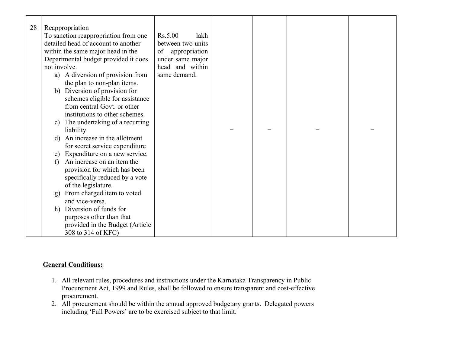| 28 | Reappropriation                            |                     |  |  |
|----|--------------------------------------------|---------------------|--|--|
|    | To sanction reappropriation from one       | Rs.5.00<br>lakh     |  |  |
|    | detailed head of account to another        | between two units   |  |  |
|    | within the same major head in the          | appropriation<br>of |  |  |
|    | Departmental budget provided it does       | under same major    |  |  |
|    | not involve.                               | head and within     |  |  |
|    | a) A diversion of provision from           | same demand.        |  |  |
|    | the plan to non-plan items.                |                     |  |  |
|    | b) Diversion of provision for              |                     |  |  |
|    | schemes eligible for assistance            |                     |  |  |
|    | from central Govt. or other                |                     |  |  |
|    | institutions to other schemes.             |                     |  |  |
|    | c) The undertaking of a recurring          |                     |  |  |
|    | liability                                  |                     |  |  |
|    | An increase in the allotment<br>d)         |                     |  |  |
|    | for secret service expenditure             |                     |  |  |
|    | e) Expenditure on a new service.           |                     |  |  |
|    | An increase on an item the<br>$\mathbf{f}$ |                     |  |  |
|    | provision for which has been               |                     |  |  |
|    |                                            |                     |  |  |
|    | specifically reduced by a vote             |                     |  |  |
|    | of the legislature.                        |                     |  |  |
|    | g) From charged item to voted              |                     |  |  |
|    | and vice-versa.                            |                     |  |  |
|    | h) Diversion of funds for                  |                     |  |  |
|    | purposes other than that                   |                     |  |  |
|    | provided in the Budget (Article            |                     |  |  |
|    | 308 to 314 of KFC)                         |                     |  |  |

### **General Conditions:**

- 1. All relevant rules, procedures and instructions under the Karnataka Transparency in Public Procurement Act, 1999 and Rules, shall be followed to ensure transparent and cost-effective procurement.
- 2. All procurement should be within the annual approved budgetary grants. Delegated powers including 'Full Powers' are to be exercised subject to that limit.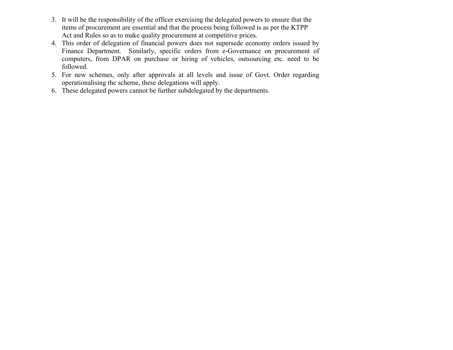- 3. It will be the responsibility of the officer exercising the delegated powers to ensure that the items of procurement are essential and that the process being followed is as per the KTPP Act and Rules so as to make quality procurement at competitive prices.
- 4. This order of delegation of financial powers does not supersede economy orders issued by Finance Department. Similarly, specific orders from e-Governance on procurement of computers, from DPAR on purchase or hiring of vehicles, outsourcing etc. need to be followed.
- 5. For new schemes, only after approvals at all levels and issue of Govt. Order regarding operationalising the scheme, these delegations will apply.
- 6. These delegated powers cannot be further subdelegated by the departments.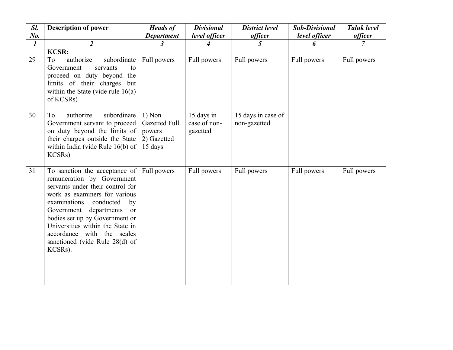| Sl.              | <b>Description of power</b>                                                                                                                                                                                                                                                                                                                                                | <b>Heads of</b>                                                      | <b>Divisional</b>                      | <b>District level</b>              | <b>Sub-Divisional</b> | <b>Taluk level</b> |
|------------------|----------------------------------------------------------------------------------------------------------------------------------------------------------------------------------------------------------------------------------------------------------------------------------------------------------------------------------------------------------------------------|----------------------------------------------------------------------|----------------------------------------|------------------------------------|-----------------------|--------------------|
| No.              |                                                                                                                                                                                                                                                                                                                                                                            | <b>Department</b>                                                    | level officer                          | <i>officer</i>                     | level officer         | <i>officer</i>     |
| $\boldsymbol{l}$ | $\overline{2}$                                                                                                                                                                                                                                                                                                                                                             | $\mathfrak{z}$                                                       | $\overline{\mathcal{A}}$               | 5                                  | 6                     | 7                  |
| 29               | <b>KCSR:</b><br>authorize<br>subordinate<br>To<br>Government<br>servants<br>to<br>proceed on duty beyond the<br>limits of their charges<br>but<br>within the State (vide rule $16(a)$ )<br>of KCSRs)                                                                                                                                                                       | Full powers                                                          | Full powers                            | Full powers                        | Full powers           | Full powers        |
| 30               | subordinate<br>authorize<br>To<br>Government servant to proceed<br>on duty beyond the limits of<br>their charges outside the State<br>within India (vide Rule 16(b) of<br>KCSRs)                                                                                                                                                                                           | $1)$ Non<br><b>Gazetted Full</b><br>powers<br>2) Gazetted<br>15 days | 15 days in<br>case of non-<br>gazetted | 15 days in case of<br>non-gazetted |                       |                    |
| 31               | To sanction the acceptance of Full powers<br>remuneration by Government<br>servants under their control for<br>work as examiners for various<br>examinations<br>conducted<br>by<br>departments<br>Government<br><b>or</b><br>bodies set up by Government or<br>Universities within the State in<br>accordance with the scales<br>sanctioned (vide Rule 28(d) of<br>KCSRs). |                                                                      | Full powers                            | Full powers                        | Full powers           | Full powers        |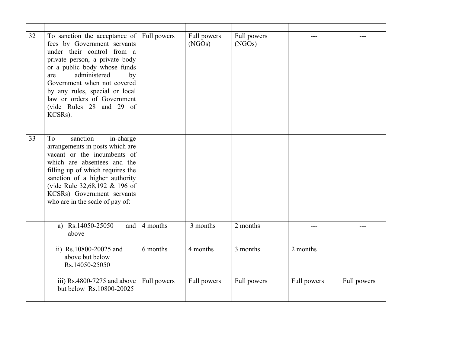| 32 | To sanction the acceptance of Full powers<br>fees by Government servants<br>under their control from a<br>private person, a private body<br>or a public body whose funds<br>administered<br>by<br>are<br>Government when not covered<br>by any rules, special or local<br>law or orders of Government<br>(vide Rules 28 and 29 of<br>KCSRs). |             | Full powers<br>(NGOs) | Full powers<br>(NGOs) |             |             |
|----|----------------------------------------------------------------------------------------------------------------------------------------------------------------------------------------------------------------------------------------------------------------------------------------------------------------------------------------------|-------------|-----------------------|-----------------------|-------------|-------------|
| 33 | To<br>sanction<br>in-charge<br>arrangements in posts which are<br>vacant or the incumbents of<br>which are absentees and the<br>filling up of which requires the<br>sanction of a higher authority<br>(vide Rule 32,68,192 & 196 of<br>KCSRs) Government servants<br>who are in the scale of pay of:                                         |             |                       |                       |             |             |
|    | a) Rs.14050-25050<br>and<br>above                                                                                                                                                                                                                                                                                                            | 4 months    | 3 months              | 2 months              |             |             |
|    | ii) Rs.10800-20025 and<br>above but below<br>Rs.14050-25050                                                                                                                                                                                                                                                                                  | 6 months    | 4 months              | 3 months              | 2 months    |             |
|    | iii) Rs.4800-7275 and above<br>but below Rs.10800-20025                                                                                                                                                                                                                                                                                      | Full powers | Full powers           | Full powers           | Full powers | Full powers |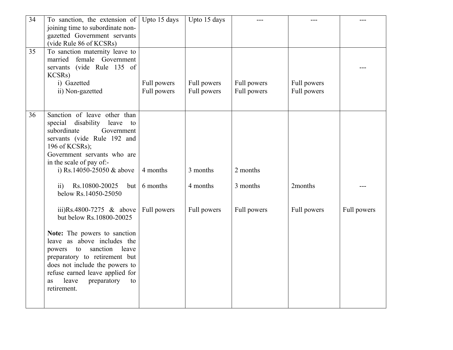| 34 | To sanction, the extension of<br>joining time to subordinate non-<br>gazetted Government servants<br>(vide Rule 86 of KCSRs)                                                                                                                                                                                                             | Upto 15 days               | Upto 15 days               |                            |                            |             |
|----|------------------------------------------------------------------------------------------------------------------------------------------------------------------------------------------------------------------------------------------------------------------------------------------------------------------------------------------|----------------------------|----------------------------|----------------------------|----------------------------|-------------|
| 35 | To sanction maternity leave to<br>female Government<br>married<br>(vide Rule 135 of<br>servants<br>KCSRs)<br>i) Gazetted<br>ii) Non-gazetted                                                                                                                                                                                             | Full powers<br>Full powers | Full powers<br>Full powers | Full powers<br>Full powers | Full powers<br>Full powers |             |
| 36 | Sanction of leave other than<br>disability<br>special<br>leave<br>to<br>subordinate<br>Government<br>servants (vide Rule 192 and<br>196 of KCSRs);<br>Government servants who are<br>in the scale of pay of:-<br>i) Rs.14050-25050 $&$ above<br>Rs.10800-20025<br>$\overline{ii}$<br>but                                                 | 4 months<br>6 months       | 3 months<br>4 months       | 2 months<br>3 months       | 2months                    |             |
|    | below Rs.14050-25050<br>iii)Rs.4800-7275 $&$ above<br>but below Rs.10800-20025<br>Note: The powers to sanction<br>leave as above includes the<br>sanction<br>leave<br>powers to<br>preparatory to retirement but<br>does not include the powers to<br>refuse earned leave applied for<br>leave<br>preparatory<br>as<br>to<br>retirement. | Full powers                | Full powers                | Full powers                | Full powers                | Full powers |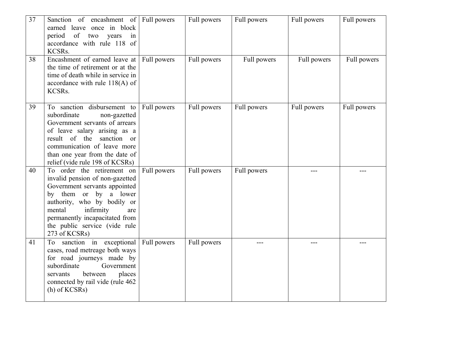| 37 | Sanction of encashment of Full powers<br>earned leave once in block<br>of two<br>period<br>years<br>in<br>accordance with rule 118 of<br>KCSRs.                                                                                                                          |             | Full powers | Full powers | Full powers | Full powers |
|----|--------------------------------------------------------------------------------------------------------------------------------------------------------------------------------------------------------------------------------------------------------------------------|-------------|-------------|-------------|-------------|-------------|
| 38 | Encashment of earned leave at Full powers<br>the time of retirement or at the<br>time of death while in service in<br>accordance with rule 118(A) of<br>KCSRs.                                                                                                           |             | Full powers | Full powers | Full powers | Full powers |
| 39 | To sanction disbursement to<br>subordinate<br>non-gazetted<br>Government servants of arrears<br>of leave salary arising as a<br>result of the<br>sanction or<br>communication of leave more<br>than one year from the date of<br>relief (vide rule 198 of KCSRs)         | Full powers | Full powers | Full powers | Full powers | Full powers |
| 40 | To order the retirement on<br>invalid pension of non-gazetted<br>Government servants appointed<br>by them or by a lower<br>authority, who by bodily or<br>infirmity<br>mental<br>are<br>permanently incapacitated from<br>the public service (vide rule<br>273 of KCSRs) | Full powers | Full powers | Full powers |             |             |
| 41 | sanction in exceptional<br>To<br>cases, road metreage both ways<br>for road journeys made by<br>subordinate<br>Government<br>between<br>places<br>servants<br>connected by rail vide (rule 462<br>$(h)$ of KCSRs)                                                        | Full powers | Full powers |             |             |             |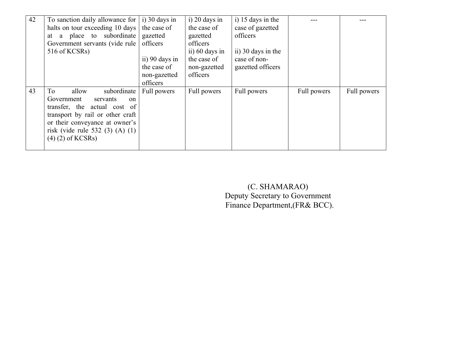| 42 | To sanction daily allowance for $\vert$ i) 30 days in |                | $i)$ 20 days in  | i) 15 days in the  |             |             |
|----|-------------------------------------------------------|----------------|------------------|--------------------|-------------|-------------|
|    | halts on tour exceeding 10 days                       | the case of    | the case of      | case of gazetted   |             |             |
|    | place to subordinate<br>a<br>at                       | gazetted       | gazetted         | officers           |             |             |
|    | Government servants (vide rule                        | officers       | officers         |                    |             |             |
|    | 516 of KCSRs)                                         |                | ii) $60$ days in | ii) 30 days in the |             |             |
|    |                                                       | ii) 90 days in | the case of      | case of non-       |             |             |
|    |                                                       | the case of    | non-gazetted     | gazetted officers  |             |             |
|    |                                                       | non-gazetted   | officers         |                    |             |             |
|    |                                                       | officers       |                  |                    |             |             |
|    |                                                       |                |                  |                    |             |             |
| 43 | To<br>allow<br>subordinate                            | Full powers    | Full powers      | Full powers        | Full powers | Full powers |
|    | Government<br>servants<br>on                          |                |                  |                    |             |             |
|    | transfer, the actual cost of                          |                |                  |                    |             |             |
|    | transport by rail or other craft                      |                |                  |                    |             |             |
|    | or their conveyance at owner's                        |                |                  |                    |             |             |
|    | risk (vide rule 532 $(3)$ $(A)$ $(1)$                 |                |                  |                    |             |             |
|    |                                                       |                |                  |                    |             |             |
|    | $(4)$ $(2)$ of KCSRs)                                 |                |                  |                    |             |             |
|    |                                                       |                |                  |                    |             |             |

(C. SHAMARAO) Deputy Secretary to Government Finance Department,(FR& BCC).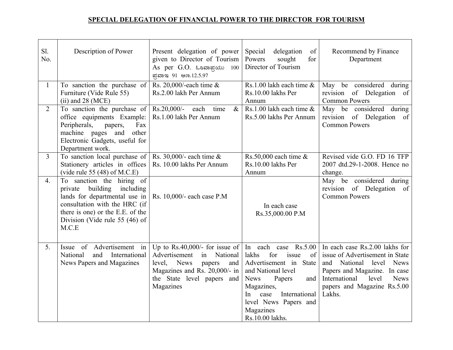## **SPECIAL DELEGATION OF FINANCIAL POWER TO THE DIRECTOR FOR TOURISM**

| Sl.<br>No.     | Description of Power                                                                                                                                                                                          | Present delegation of power<br>given to Director of Tourism<br>As per G.O. ಓಂವಾಪ್ರಯು 100<br>ಪ್ರವಾಇ 91 ಆಣ.12.5.97                                                                                | Special<br>delegation<br>of<br>Powers<br>sought<br>for<br>Director of Tourism                                                                                                                                                             | Recommend by Finance<br>Department                                                                                                                                                                                             |
|----------------|---------------------------------------------------------------------------------------------------------------------------------------------------------------------------------------------------------------|-------------------------------------------------------------------------------------------------------------------------------------------------------------------------------------------------|-------------------------------------------------------------------------------------------------------------------------------------------------------------------------------------------------------------------------------------------|--------------------------------------------------------------------------------------------------------------------------------------------------------------------------------------------------------------------------------|
| $\mathbf{1}$   | To sanction the purchase of<br>Furniture (Vide Rule 55)<br>$(ii)$ and 28 (MCE)                                                                                                                                | Rs. 20,000/-each time $\&$<br>Rs.2.00 lakh Per Annum                                                                                                                                            | Rs.1.00 lakh each time $\&$<br>Rs.10.00 lakhs Per<br>Annum                                                                                                                                                                                | May be considered during<br>revision<br>of Delegation of<br><b>Common Powers</b>                                                                                                                                               |
| 2              | To sanction the purchase of<br>office equipments Example:<br>Peripherals,<br>Fax<br>papers,<br>machine pages and<br>other<br>Electronic Gadgets, useful for<br>Department work.                               | $Rs.20,000/$ -<br>$\&$<br>each<br>time<br>Rs.1.00 lakh Per Annum                                                                                                                                | Rs.1.00 lakh each time $\&$<br>Rs.5.00 lakhs Per Annum                                                                                                                                                                                    | May be considered during<br>revision of Delegation of<br><b>Common Powers</b>                                                                                                                                                  |
| $\overline{3}$ | To sanction local purchase of<br>Stationery articles in offices<br>(vide rule 55 $(48)$ of M.C.E)                                                                                                             | Rs. 30,000/- each time $\&$<br>Rs. 10.00 lakhs Per Annum                                                                                                                                        | Rs.50,000 each time $\&$<br>Rs.10.00 lakhs Per<br>Annum                                                                                                                                                                                   | Revised vide G.O. FD 16 TFP<br>2007 dtd.29-1-2008. Hence no<br>change.                                                                                                                                                         |
| 4.             | To sanction the hiring of<br>private building<br>including<br>lands for departmental use in<br>consultation with the HRC (if<br>there is one) or the E.E. of the<br>Division (Vide rule 55 $(46)$ of<br>M.C.E | Rs. 10,000/- each case P.M                                                                                                                                                                      | In each case<br>Rs.35,000.00 P.M                                                                                                                                                                                                          | May be considered during<br>revision of Delegation of<br><b>Common Powers</b>                                                                                                                                                  |
| 5.             | Issue of Advertisement in<br>National<br>and<br>International<br>News Papers and Magazines                                                                                                                    | Up to Rs.40,000/- for issue of $\vert$<br>Advertisement<br>National<br>in<br><b>News</b><br>level,<br>papers<br>and<br>Magazines and Rs. 20,000/- in<br>the State level papers and<br>Magazines | In each case Rs.5.00<br>for<br>issue<br>lakhs<br>of<br>Advertisement in State<br>and National level<br><b>News</b><br>Papers<br>and<br>Magazines,<br>International<br>case<br>In<br>level News Papers and<br>Magazines<br>Rs.10.00 lakhs. | In each case Rs.2.00 lakhs for<br>issue of Advertisement in State<br><b>News</b><br>and<br>National<br>level<br>Papers and Magazine. In case<br>International<br><b>News</b><br>level<br>papers and Magazine Rs.5.00<br>Lakhs. |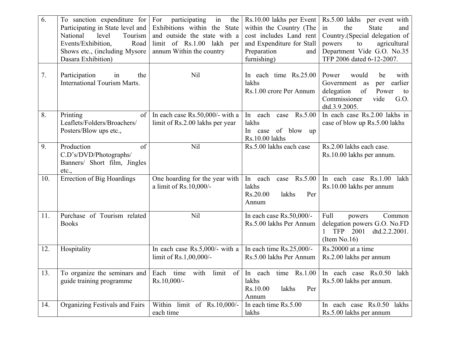| 6.  | To sanction expenditure for<br>Participating in State level and<br>level<br>Tourism<br>National<br>Events/Exhibition,<br>Road<br>Shows etc., (including Mysore)<br>Dasara Exhibition) | For<br>participating<br>in<br>the  <br>Exhibitions within the State<br>and outside the state with a<br>limit of Rs.1.00 lakh per<br>annum Within the country | Rs.10.00 lakhs per Event<br>within the Country (The<br>cost includes Land rent<br>and Expenditure for Stall<br>Preparation<br>and<br>furnishing) | Rs.5.00 lakhs per event with<br>in<br>the<br><b>State</b><br>and<br>Country.(Special delegation of<br>powers<br>agricultural<br>to<br>Department Vide G.O. No.35<br>TFP 2006 dated 6-12-2007. |
|-----|---------------------------------------------------------------------------------------------------------------------------------------------------------------------------------------|--------------------------------------------------------------------------------------------------------------------------------------------------------------|--------------------------------------------------------------------------------------------------------------------------------------------------|-----------------------------------------------------------------------------------------------------------------------------------------------------------------------------------------------|
| 7.  | Participation<br>the<br>in<br><b>International Tourism Marts.</b>                                                                                                                     | N <sub>il</sub>                                                                                                                                              | In each time Rs.25.00<br>lakhs<br>Rs.1.00 crore Per Annum                                                                                        | Power<br>with<br>would<br>be<br>earlier<br>Government as<br>per<br>delegation<br>of<br>Power<br>to<br>Commissioner<br>vide<br>G.O.<br>dtd.3.9.2005.                                           |
| 8.  | Printing<br>of<br>Leaflets/Folders/Broachers/<br>Posters/Blow ups etc.,                                                                                                               | In each case $Rs.50,000/$ - with a<br>limit of Rs.2.00 lakhs per year                                                                                        | In each case Rs.5.00<br>lakhs<br>In case of blow up<br>Rs.10.00 lakhs                                                                            | In each case Rs.2.00 lakhs in<br>case of blow up Rs.5.00 lakhs                                                                                                                                |
| 9.  | of<br>Production<br>C.D's/DVD/Photographs/<br>Banners/ Short film, Jingles<br>etc.,                                                                                                   | Nil                                                                                                                                                          | Rs.5.00 lakhs each case                                                                                                                          | Rs.2.00 lakhs each case.<br>Rs.10.00 lakhs per annum.                                                                                                                                         |
| 10. | <b>Errection of Big Hoardings</b>                                                                                                                                                     | One hoarding for the year with<br>a limit of Rs.10,000/-                                                                                                     | case $Rs.5.00$<br>In each<br>lakhs<br>Rs.20.00<br>lakhs<br>Per<br>Annum                                                                          | In each case Rs.1.00<br>lakh<br>Rs.10.00 lakhs per annum                                                                                                                                      |
| 11. | Purchase of Tourism related<br><b>Books</b>                                                                                                                                           | <b>Nil</b>                                                                                                                                                   | In each case Rs.50,000/-<br>Rs.5.00 lakhs Per Annum                                                                                              | Full<br>Common<br>powers<br>delegation powers G.O. No.FD<br>TFP 2001<br>dtd.2.2.2001.<br>(Item No.16)                                                                                         |
| 12. | Hospitality                                                                                                                                                                           | In each case $Rs.5,000/$ - with a<br>limit of Rs.1,00,000/-                                                                                                  | In each time $Rs.25,000/-$<br>Rs.5.00 lakhs Per Annum                                                                                            | Rs.20000 at a time<br>Rs.2.00 lakhs per annum                                                                                                                                                 |
| 13. | To organize the seminars and<br>guide training programme                                                                                                                              | Each time<br>$\lim_{t \to 0}$ of $\mid$<br>with<br>Rs.10,000/-                                                                                               | $c + r$<br>In each time $\text{Rs}.1.00$<br>lakhs<br>Rs.10.00<br>lakhs<br>Per<br>Annum                                                           | In each case Rs.0.50 lakh<br>Rs.5.00 lakhs per annum.                                                                                                                                         |
| 14. | Organizing Festivals and Fairs                                                                                                                                                        | Within limit of Rs.10,000/-<br>each time                                                                                                                     | In each time Rs.5.00<br>lakhs                                                                                                                    | In each case Rs.0.50 lakhs<br>Rs.5.00 lakhs per annum                                                                                                                                         |